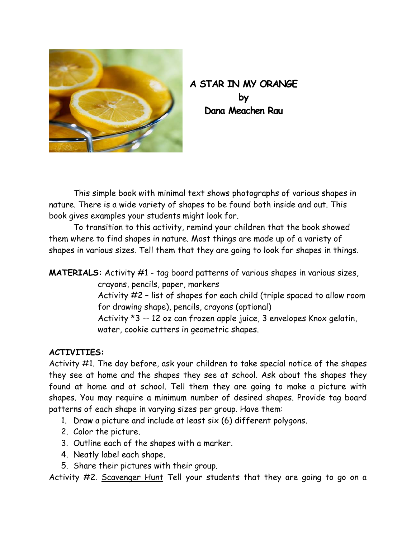

## **A STAR IN MY ORANGE by Dana Meachen Rau**

 This simple book with minimal text shows photographs of various shapes in nature. There is a wide variety of shapes to be found both inside and out. This book gives examples your students might look for.

 To transition to this activity, remind your children that the book showed them where to find shapes in nature. Most things are made up of a variety of shapes in various sizes. Tell them that they are going to look for shapes in things.

**MATERIALS:** Activity #1 - tag board patterns of various shapes in various sizes, crayons, pencils, paper, markers Activity #2 – list of shapes for each child (triple spaced to allow room for drawing shape), pencils, crayons (optional) Activity \*3 -- 12 oz can frozen apple juice, 3 envelopes Knox gelatin, water, cookie cutters in geometric shapes.

## **ACTIVITIES:**

Activity #1. The day before, ask your children to take special notice of the shapes they see at home and the shapes they see at school. Ask about the shapes they found at home and at school. Tell them they are going to make a picture with shapes. You may require a minimum number of desired shapes. Provide tag board patterns of each shape in varying sizes per group. Have them:

- 1. Draw a picture and include at least six (6) different polygons.
- 2. Color the picture.
- 3. Outline each of the shapes with a marker.
- 4. Neatly label each shape.
- 5. Share their pictures with their group.

Activity #2. Scavenger Hunt Tell your students that they are going to go on a